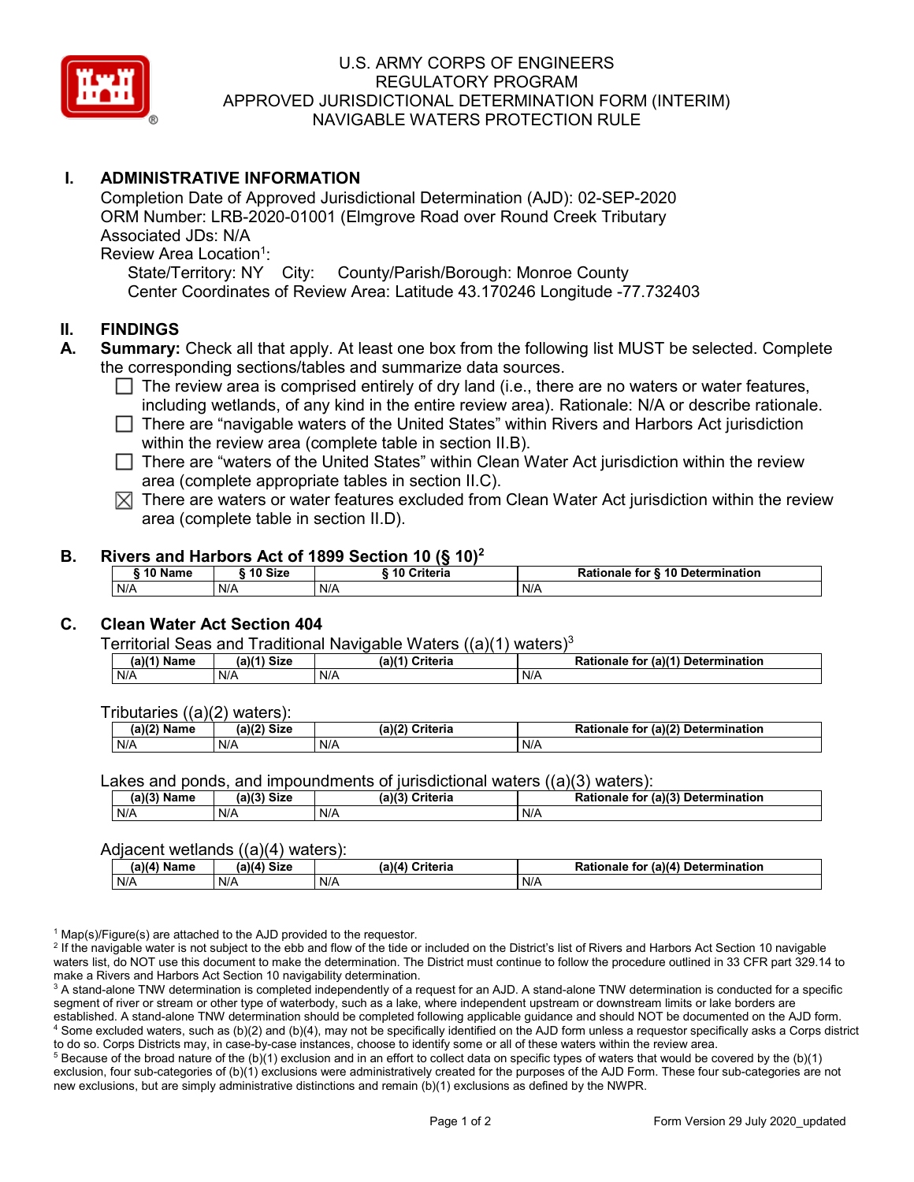

## U.S. ARMY CORPS OF ENGINEERS REGULATORY PROGRAM APPROVED JURISDICTIONAL DETERMINATION FORM (INTERIM) NAVIGABLE WATERS PROTECTION RULE

## **I. ADMINISTRATIVE INFORMATION**

Completion Date of Approved Jurisdictional Determination (AJD): 02-SEP-2020 ORM Number: LRB-2020-01001 (Elmgrove Road over Round Creek Tributary Associated JDs: N/A Review Area Location<sup>1</sup>:

State/Territory: NY City: County/Parish/Borough: Monroe County Center Coordinates of Review Area: Latitude 43.170246 Longitude -77.732403

### **II. FINDINGS**

- **A. Summary:** Check all that apply. At least one box from the following list MUST be selected. Complete the corresponding sections/tables and summarize data sources.
	- $\Box$  The review area is comprised entirely of dry land (i.e., there are no waters or water features, including wetlands, of any kind in the entire review area). Rationale: N/A or describe rationale.
	- There are "navigable waters of the United States" within Rivers and Harbors Act jurisdiction within the review area (complete table in section II.B).
	- $\Box$  There are "waters of the United States" within Clean Water Act jurisdiction within the review area (complete appropriate tables in section II.C).
	- $\boxtimes$  There are waters or water features excluded from Clean Water Act jurisdiction within the review area (complete table in section II.D).

#### **B. Rivers and Harbors Act of 1899 Section 10 (§ 10)2**

| <b>A 6 5 1</b><br>Name | 10 Size | ---------<br><b>↑riteria</b><br>ιu | ੇ for § 10 Determination<br>Rationale |
|------------------------|---------|------------------------------------|---------------------------------------|
| N/A                    | N/A     | N/A                                | N/A                                   |

## **C. Clean Water Act Section 404**

Territorial Seas and Traditional Navigable Waters  $((a)(1)$  waters)<sup>3</sup>

| (a)(1`<br>Name | $(a)(1)$ Size | Criteria<br>$(a)$ <sup><math>(</math></sup> | (a)(1)<br>Determination<br><b>Dation</b><br>tor<br>Rationale |
|----------------|---------------|---------------------------------------------|--------------------------------------------------------------|
| N/A            | N/A           | N/A                                         | N/A                                                          |

Tributaries ((a)(2) waters):

| . .<br>(a)(2)<br>Name | (a)(2)<br>Size | (a)(2)<br>Criteria | (a)(2) Determination<br><sup>⊸≁tionale</sup> പം. |
|-----------------------|----------------|--------------------|--------------------------------------------------|
| N/A                   | N/A            | N/A                | N/f                                              |

Lakes and ponds, and impoundments of jurisdictional waters ((a)(3) waters):

| $(a)(3)$ M<br>Name | $(a)(3)$ Size | (a)(3)<br>Criteria<br>$\sim$ | for (a)(3) Determination<br><b>Rationale</b> |
|--------------------|---------------|------------------------------|----------------------------------------------|
| N/A                | N/A           | N/A                          | N/A                                          |

#### Adjacent wetlands ((a)(4) waters):

| $\cdots$<br>∖ Name<br>.a)(4 | -----<br>$(a)(4)$ Size | .<br>Criteria<br>(a)(4) | (a)(4) Determination<br>Rationale<br>for |
|-----------------------------|------------------------|-------------------------|------------------------------------------|
| N/A                         | N/A                    | N/A                     | N/A                                      |

 $1$  Map(s)/Figure(s) are attached to the AJD provided to the requestor.

<sup>2</sup> If the navigable water is not subject to the ebb and flow of the tide or included on the District's list of Rivers and Harbors Act Section 10 navigable waters list, do NOT use this document to make the determination. The District must continue to follow the procedure outlined in 33 CFR part 329.14 to make a Rivers and Harbors Act Section 10 navigability determination.

<sup>3</sup> A stand-alone TNW determination is completed independently of a request for an AJD. A stand-alone TNW determination is conducted for a specific segment of river or stream or other type of waterbody, such as a lake, where independent upstream or downstream limits or lake borders are established. A stand-alone TNW determination should be completed following applicable guidance and should NOT be documented on the AJD form. <sup>4</sup> Some excluded waters, such as (b)(2) and (b)(4), may not be specifically identified on the AJD form unless a requestor specifically asks a Corps district to do so. Corps Districts may, in case-by-case instances, choose to identify some or all of these waters within the review area.

 $5$  Because of the broad nature of the (b)(1) exclusion and in an effort to collect data on specific types of waters that would be covered by the (b)(1) exclusion, four sub-categories of (b)(1) exclusions were administratively created for the purposes of the AJD Form. These four sub-categories are not new exclusions, but are simply administrative distinctions and remain (b)(1) exclusions as defined by the NWPR.